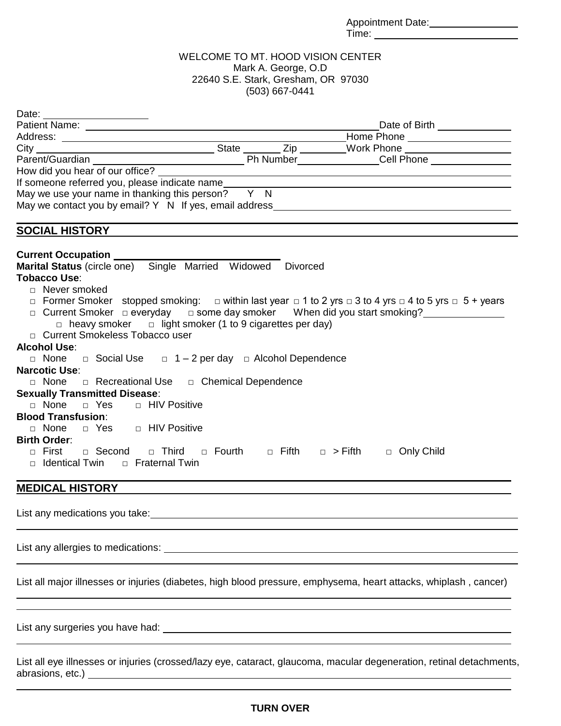Appointment Date: Time: Time:

### WELCOME TO MT. HOOD VISION CENTER Mark A. George, O.D 22640 S.E. Stark, Gresham, OR 97030 (503) 667-0441

| Date:                                                                                                                                |                                                                                                                       |                                                             |  |
|--------------------------------------------------------------------------------------------------------------------------------------|-----------------------------------------------------------------------------------------------------------------------|-------------------------------------------------------------|--|
|                                                                                                                                      | Date of Birth ______________                                                                                          |                                                             |  |
|                                                                                                                                      |                                                                                                                       | Home Phone ____________________                             |  |
|                                                                                                                                      |                                                                                                                       |                                                             |  |
|                                                                                                                                      |                                                                                                                       |                                                             |  |
| How did you hear of our office? _____                                                                                                | <u> 1989 - John Stein, mars and de Branch and de Branch and de Branch and de Branch and de Branch and de Branch a</u> |                                                             |  |
| If someone referred you, please indicate name                                                                                        |                                                                                                                       |                                                             |  |
| May we use your name in thanking this person? $\overline{Y}$ N                                                                       |                                                                                                                       |                                                             |  |
| May we contact you by email? Y N If yes, email address                                                                               |                                                                                                                       |                                                             |  |
|                                                                                                                                      |                                                                                                                       |                                                             |  |
| <b>SOCIAL HISTORY</b>                                                                                                                |                                                                                                                       |                                                             |  |
|                                                                                                                                      |                                                                                                                       |                                                             |  |
| <b>Current Occupation</b>                                                                                                            |                                                                                                                       |                                                             |  |
| Marital Status (circle one) Single Married Widowed Divorced                                                                          |                                                                                                                       |                                                             |  |
| Tobacco Use:                                                                                                                         |                                                                                                                       |                                                             |  |
| □ Never smoked                                                                                                                       |                                                                                                                       |                                                             |  |
| $\Box$ Former Smoker stopped smoking: $\Box$ within last year $\Box$ 1 to 2 yrs $\Box$ 3 to 4 yrs $\Box$ 4 to 5 yrs $\Box$ 5 + years |                                                                                                                       |                                                             |  |
| □ Current Smoker □ everyday □ some day smoker When did you start smoking?                                                            |                                                                                                                       |                                                             |  |
| $\Box$ heavy smoker $\Box$ light smoker (1 to 9 cigarettes per day)                                                                  |                                                                                                                       |                                                             |  |
| □ Current Smokeless Tobacco user                                                                                                     |                                                                                                                       |                                                             |  |
| <b>Alcohol Use:</b>                                                                                                                  |                                                                                                                       |                                                             |  |
| □ Social Use □ 1-2 per day □ Alcohol Dependence<br>□ None                                                                            |                                                                                                                       |                                                             |  |
| <b>Narcotic Use:</b>                                                                                                                 |                                                                                                                       |                                                             |  |
| □ None □ Recreational Use □ Chemical Dependence                                                                                      |                                                                                                                       |                                                             |  |
| <b>Sexually Transmitted Disease:</b>                                                                                                 |                                                                                                                       |                                                             |  |
| □ None □ Yes □ HIV Positive                                                                                                          |                                                                                                                       |                                                             |  |
| <b>Blood Transfusion:</b>                                                                                                            |                                                                                                                       |                                                             |  |
| □ Yes □ HIV Positive<br>$\Box$ None                                                                                                  |                                                                                                                       |                                                             |  |
| <b>Birth Order:</b>                                                                                                                  |                                                                                                                       |                                                             |  |
| □ Second<br>$\Box$ Third<br>⊓ First                                                                                                  |                                                                                                                       | $\Box$ Fourth $\Box$ Fifth $\Box$ > Fifth $\Box$ Only Child |  |
| □ Identical Twin<br>□ Fraternal Twin                                                                                                 |                                                                                                                       |                                                             |  |
|                                                                                                                                      |                                                                                                                       |                                                             |  |

## **MEDICAL HISTORY**

List any medications you take:<br>
<u>List any medications you take:</u>

List any allergies to medications:

List all major illnesses or injuries (diabetes, high blood pressure, emphysema, heart attacks, whiplash , cancer)

List any surgeries you have had:

List all eye illnesses or injuries (crossed/lazy eye, cataract, glaucoma, macular degeneration, retinal detachments, abrasions, etc.) **Alternative Contract Contract Contract Contract Contract Contract Contract Contract Contract Contract Contract Contract Contract Contract Contract Contract Contract Contract Contract Contract Contract Con**